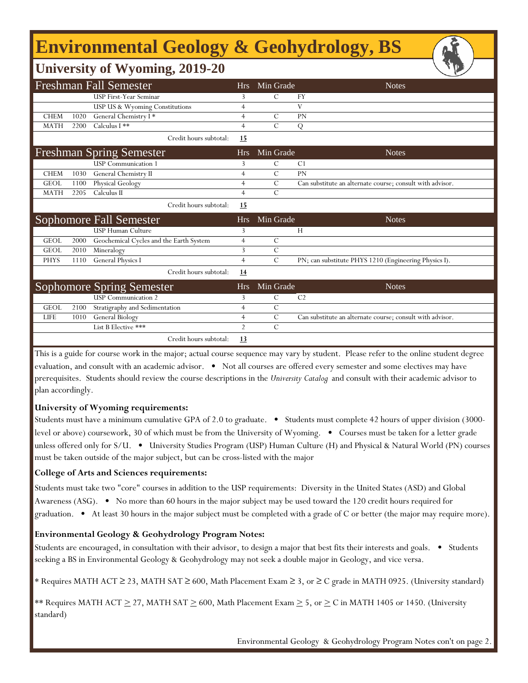# **Environmental Geology & Geohydrology, BS**

### **University of Wyoming, 2019-20**

| <b>Freshman Fall Semester</b> |      |                                         |                              | Hrs. | Min Grade      | <b>Notes</b>                                              |
|-------------------------------|------|-----------------------------------------|------------------------------|------|----------------|-----------------------------------------------------------|
|                               |      | <b>USP First-Year Seminar</b>           | 3                            |      | C              | FY                                                        |
|                               |      | USP US & Wyoming Constitutions          | $\overline{4}$               |      |                | V                                                         |
| <b>CHEM</b>                   | 1020 | General Chemistry I*                    | $\overline{4}$               |      | $\mathcal{C}$  | PN                                                        |
| <b>MATH</b>                   | 2200 | Calculus I **                           | $\overline{4}$               |      | $\mathcal{C}$  | Q                                                         |
|                               |      |                                         | Credit hours subtotal:<br>15 |      |                |                                                           |
|                               |      | <b>Freshman Spring Semester</b>         | <b>Hrs</b>                   |      | Min Grade      | <b>Notes</b>                                              |
|                               |      | <b>USP</b> Communication 1              | 3                            |      | С              | C <sub>1</sub>                                            |
| <b>CHEM</b>                   | 1030 | General Chemistry II                    | $\overline{4}$               |      | $\mathcal{C}$  | PN                                                        |
| <b>GEOL</b>                   | 1100 | Physical Geology                        | $\overline{4}$               |      | $\overline{C}$ | Can substitute an alternate course; consult with advisor. |
| <b>MATH</b>                   | 2205 | Calculus II                             | $\overline{4}$               |      | $\mathcal{C}$  |                                                           |
|                               |      |                                         | Credit hours subtotal:<br>15 |      |                |                                                           |
|                               |      |                                         |                              |      |                |                                                           |
|                               |      | Sophomore Fall Semester                 | <b>Hrs</b>                   |      | Min Grade      | <b>Notes</b>                                              |
|                               |      | <b>USP Human Culture</b>                | 3                            |      |                | H                                                         |
| <b>GEOL</b>                   | 2000 | Geochemical Cycles and the Earth System | 4                            |      | $\mathcal{C}$  |                                                           |
| <b>GEOL</b>                   | 2010 | Mineralogy                              | 3                            |      | $\overline{C}$ |                                                           |
| <b>PHYS</b>                   | 1110 | <b>General Physics I</b>                | $\overline{4}$               |      | $\mathcal{C}$  | PN; can substitute PHYS 1210 (Engineering Physics I).     |
|                               |      |                                         | Credit hours subtotal:<br>14 |      |                |                                                           |
|                               |      | <b>Sophomore Spring Semester</b>        | <b>Hrs</b>                   |      | Min Grade      | <b>Notes</b>                                              |
|                               |      | <b>USP</b> Communication 2              | 3                            |      | C              | C <sub>2</sub>                                            |
| <b>GEOL</b>                   | 2100 | Stratigraphy and Sedimentation          | $\overline{4}$               |      | $\mathcal{C}$  |                                                           |
| <b>LIFE</b>                   | 1010 | General Biology                         | $\overline{4}$               |      | $\mathcal{C}$  | Can substitute an alternate course; consult with advisor. |
|                               |      | List B Elective ***                     | $\overline{2}$               |      | $\mathcal{C}$  |                                                           |

This is a guide for course work in the major; actual course sequence may vary by student. Please refer to the online student degree evaluation, and consult with an academic advisor. • Not all courses are offered every semester and some electives may have prerequisites. Students should review the course descriptions in the *University Catalog* and consult with their academic advisor to plan accordingly.

### **University of Wyoming requirements:**

Students must have a minimum cumulative GPA of 2.0 to graduate. • Students must complete 42 hours of upper division (3000 level or above) coursework, 30 of which must be from the University of Wyoming. • Courses must be taken for a letter grade unless offered only for S/U. • University Studies Program (USP) Human Culture (H) and Physical & Natural World (PN) courses must be taken outside of the major subject, but can be cross-listed with the major

#### **College of Arts and Sciences requirements:**

f

Students must take two "core" courses in addition to the USP requirements: Diversity in the United States (ASD) and Global Awareness (ASG). • No more than 60 hours in the major subject may be used toward the 120 credit hours required for graduation. • At least 30 hours in the major subject must be completed with a grade of C or better (the major may require more).

#### **Environmental Geology & Geohydrology Program Notes:**

Students are encouraged, in consultation with their advisor, to design a major that best fits their interests and goals. • Students seeking a BS in Environmental Geology & Geohydrology may not seek a double major in Geology, and vice versa.

\* Requires MATH ACT ≥ 23, MATH SAT ≥ 600, Math Placement Exam ≥ 3, or ≥ C grade in MATH 0925. (University standard)

\*\* Requires MATH ACT  $\geq$  27, MATH SAT  $\geq$  600, Math Placement Exam  $\geq$  5, or  $\geq$  C in MATH 1405 or 1450. (University standard)

Environmental Geology & Geohydrology Program Notes con't on page 2.